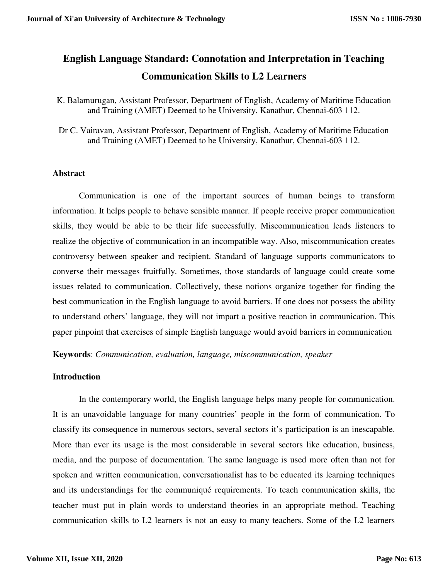# **English Language Standard: Connotation and Interpretation in Teaching Communication Skills to L2 Learners**

K. Balamurugan, Assistant Professor, Department of English, Academy of Maritime Education and Training (AMET) Deemed to be University, Kanathur, Chennai-603 112.

Dr C. Vairavan, Assistant Professor, Department of English, Academy of Maritime Education and Training (AMET) Deemed to be University, Kanathur, Chennai-603 112.

## **Abstract**

Communication is one of the important sources of human beings to transform information. It helps people to behave sensible manner. If people receive proper communication skills, they would be able to be their life successfully. Miscommunication leads listeners to realize the objective of communication in an incompatible way. Also, miscommunication creates controversy between speaker and recipient. Standard of language supports communicators to converse their messages fruitfully. Sometimes, those standards of language could create some issues related to communication. Collectively, these notions organize together for finding the best communication in the English language to avoid barriers. If one does not possess the ability to understand others' language, they will not impart a positive reaction in communication. This paper pinpoint that exercises of simple English language would avoid barriers in communication

**Keywords**: *Communication, evaluation, language, miscommunication, speaker*

#### **Introduction**

In the contemporary world, the English language helps many people for communication. It is an unavoidable language for many countries' people in the form of communication. To classify its consequence in numerous sectors, several sectors it's participation is an inescapable. More than ever its usage is the most considerable in several sectors like education, business, media, and the purpose of documentation. The same language is used more often than not for spoken and written communication, conversationalist has to be educated its learning techniques and its understandings for the communiqué requirements. To teach communication skills, the teacher must put in plain words to understand theories in an appropriate method. Teaching communication skills to L2 learners is not an easy to many teachers. Some of the L2 learners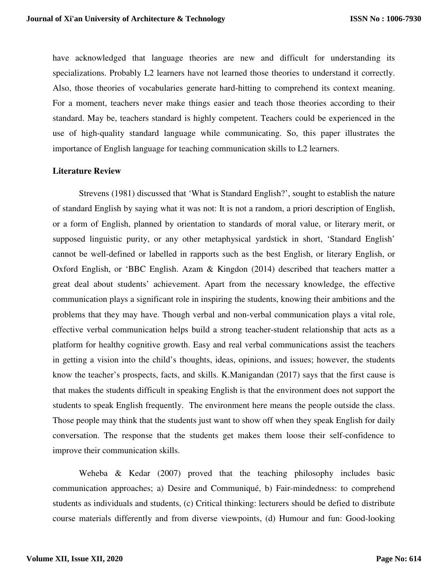have acknowledged that language theories are new and difficult for understanding its specializations. Probably L2 learners have not learned those theories to understand it correctly. Also, those theories of vocabularies generate hard-hitting to comprehend its context meaning. For a moment, teachers never make things easier and teach those theories according to their standard. May be, teachers standard is highly competent. Teachers could be experienced in the use of high-quality standard language while communicating. So, this paper illustrates the importance of English language for teaching communication skills to L2 learners.

## **Literature Review**

Strevens (1981) discussed that 'What is Standard English?', sought to establish the nature of standard English by saying what it was not: It is not a random, a priori description of English, or a form of English, planned by orientation to standards of moral value, or literary merit, or supposed linguistic purity, or any other metaphysical yardstick in short, 'Standard English' cannot be well-defined or labelled in rapports such as the best English, or literary English, or Oxford English, or 'BBC English. Azam & Kingdon (2014) described that teachers matter a great deal about students' achievement. Apart from the necessary knowledge, the effective communication plays a significant role in inspiring the students, knowing their ambitions and the problems that they may have. Though verbal and non-verbal communication plays a vital role, effective verbal communication helps build a strong teacher-student relationship that acts as a platform for healthy cognitive growth. Easy and real verbal communications assist the teachers in getting a vision into the child's thoughts, ideas, opinions, and issues; however, the students know the teacher's prospects, facts, and skills. K.Manigandan (2017) says that the first cause is that makes the students difficult in speaking English is that the environment does not support the students to speak English frequently. The environment here means the people outside the class. Those people may think that the students just want to show off when they speak English for daily conversation. The response that the students get makes them loose their self-confidence to improve their communication skills.

Weheba & Kedar (2007) proved that the teaching philosophy includes basic communication approaches; a) Desire and Communiqué, b) Fair-mindedness: to comprehend students as individuals and students, (c) Critical thinking: lecturers should be defied to distribute course materials differently and from diverse viewpoints, (d) Humour and fun: Good-looking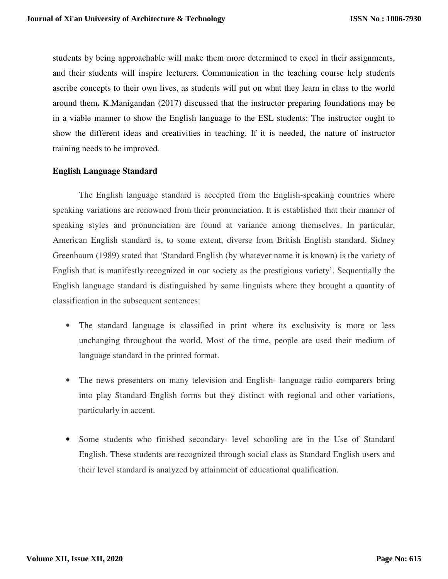students by being approachable will make them more determined to excel in their assignments, and their students will inspire lecturers. Communication in the teaching course help students ascribe concepts to their own lives, as students will put on what they learn in class to the world around them**.** K.Manigandan (2017) discussed that the instructor preparing foundations may be in a viable manner to show the English language to the ESL students: The instructor ought to show the different ideas and creativities in teaching. If it is needed, the nature of instructor training needs to be improved.

## **English Language Standard**

The English language standard is accepted from the English-speaking countries where speaking variations are renowned from their pronunciation. It is established that their manner of speaking styles and pronunciation are found at variance among themselves. In particular, American English standard is, to some extent, diverse from British English standard. Sidney Greenbaum (1989) stated that 'Standard English (by whatever name it is known) is the variety of English that is manifestly recognized in our society as the prestigious variety'. Sequentially the English language standard is distinguished by some linguists where they brought a quantity of classification in the subsequent sentences:

- The standard language is classified in print where its exclusivity is more or less unchanging throughout the world. Most of the time, people are used their medium of language standard in the printed format.
- The news presenters on many television and English-language radio comparers bring into play Standard English forms but they distinct with regional and other variations, particularly in accent.
- Some students who finished secondary- level schooling are in the Use of Standard English. These students are recognized through social class as Standard English users and their level standard is analyzed by attainment of educational qualification.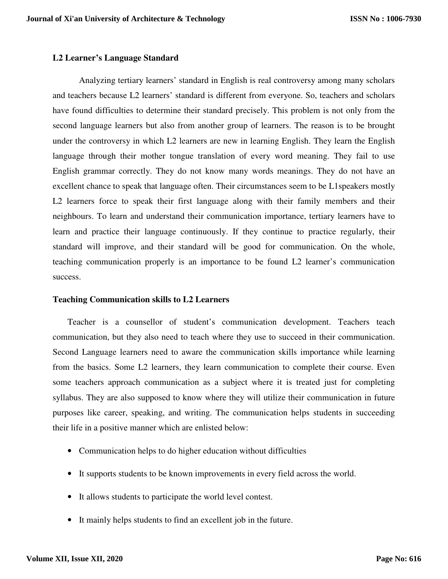## **L2 Learner's Language Standard**

Analyzing tertiary learners' standard in English is real controversy among many scholars and teachers because L2 learners' standard is different from everyone. So, teachers and scholars have found difficulties to determine their standard precisely. This problem is not only from the second language learners but also from another group of learners. The reason is to be brought under the controversy in which L2 learners are new in learning English. They learn the English language through their mother tongue translation of every word meaning. They fail to use English grammar correctly. They do not know many words meanings. They do not have an excellent chance to speak that language often. Their circumstances seem to be L1speakers mostly L2 learners force to speak their first language along with their family members and their neighbours. To learn and understand their communication importance, tertiary learners have to learn and practice their language continuously. If they continue to practice regularly, their standard will improve, and their standard will be good for communication. On the whole, teaching communication properly is an importance to be found L2 learner's communication success.

#### **Teaching Communication skills to L2 Learners**

Teacher is a counsellor of student's communication development. Teachers teach communication, but they also need to teach where they use to succeed in their communication. Second Language learners need to aware the communication skills importance while learning from the basics. Some L2 learners, they learn communication to complete their course. Even some teachers approach communication as a subject where it is treated just for completing syllabus. They are also supposed to know where they will utilize their communication in future purposes like career, speaking, and writing. The communication helps students in succeeding their life in a positive manner which are enlisted below:

- Communication helps to do higher education without difficulties
- It supports students to be known improvements in every field across the world.
- It allows students to participate the world level contest.
- It mainly helps students to find an excellent job in the future.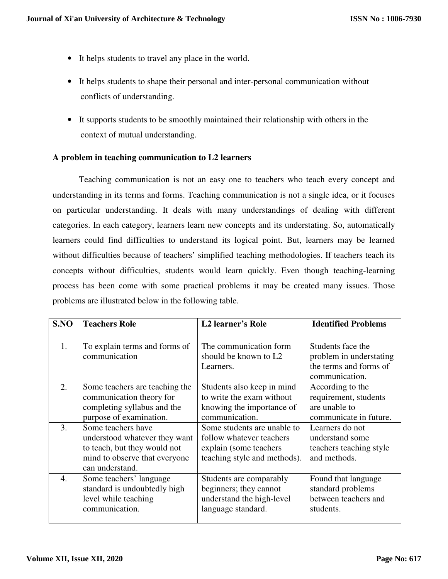- It helps students to travel any place in the world.
- It helps students to shape their personal and inter-personal communication without conflicts of understanding.
- It supports students to be smoothly maintained their relationship with others in the context of mutual understanding.

## **A problem in teaching communication to L2 learners**

Teaching communication is not an easy one to teachers who teach every concept and understanding in its terms and forms. Teaching communication is not a single idea, or it focuses on particular understanding. It deals with many understandings of dealing with different categories. In each category, learners learn new concepts and its understating. So, automatically learners could find difficulties to understand its logical point. But, learners may be learned without difficulties because of teachers' simplified teaching methodologies. If teachers teach its concepts without difficulties, students would learn quickly. Even though teaching-learning process has been come with some practical problems it may be created many issues. Those problems are illustrated below in the following table.

| S.NO | <b>Teachers Role</b>           | <b>L2</b> learner's Role     | <b>Identified Problems</b> |
|------|--------------------------------|------------------------------|----------------------------|
|      |                                |                              |                            |
| 1.   | To explain terms and forms of  | The communication form       | Students face the          |
|      | communication                  | should be known to L2        | problem in understating    |
|      |                                | Learners.                    | the terms and forms of     |
|      |                                |                              | communication.             |
| 2.   | Some teachers are teaching the | Students also keep in mind   | According to the           |
|      | communication theory for       | to write the exam without    | requirement, students      |
|      | completing syllabus and the    | knowing the importance of    | are unable to              |
|      | purpose of examination.        | communication.               | communicate in future.     |
| 3.   | Some teachers have             | Some students are unable to  | Learners do not            |
|      | understood whatever they want  | follow whatever teachers     | understand some            |
|      | to teach, but they would not   | explain (some teachers)      | teachers teaching style    |
|      | mind to observe that everyone  | teaching style and methods). | and methods.               |
|      | can understand.                |                              |                            |
| 4.   | Some teachers' language        | Students are comparably      | Found that language        |
|      | standard is undoubtedly high   | beginners; they cannot       | standard problems          |
|      | level while teaching           | understand the high-level    | between teachers and       |
|      | communication.                 | language standard.           | students.                  |
|      |                                |                              |                            |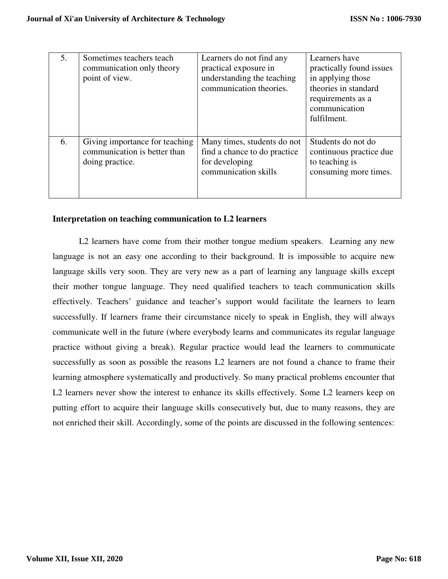| 5. | Sometimes teachers teach<br>communication only theory<br>point of view.           | Learners do not find any<br>practical exposure in<br>understanding the teaching<br>communication theories. | Learners have<br>practically found issues<br>in applying those<br>theories in standard<br>requirements as a<br>communication<br>fulfilment. |
|----|-----------------------------------------------------------------------------------|------------------------------------------------------------------------------------------------------------|---------------------------------------------------------------------------------------------------------------------------------------------|
| 6. | Giving importance for teaching<br>communication is better than<br>doing practice. | Many times, students do not<br>find a chance to do practice<br>for developing<br>communication skills      | Students do not do<br>continuous practice due<br>to teaching is<br>consuming more times.                                                    |

## **Interpretation on teaching communication to L2 learners**

L2 learners have come from their mother tongue medium speakers. Learning any new language is not an easy one according to their background. It is impossible to acquire new language skills very soon. They are very new as a part of learning any language skills except their mother tongue language. They need qualified teachers to teach communication skills effectively. Teachers' guidance and teacher's support would facilitate the learners to learn successfully. If learners frame their circumstance nicely to speak in English, they will always communicate well in the future (where everybody learns and communicates its regular language practice without giving a break). Regular practice would lead the learners to communicate successfully as soon as possible the reasons L2 learners are not found a chance to frame their learning atmosphere systematically and productively. So many practical problems encounter that L2 learners never show the interest to enhance its skills effectively. Some L2 learners keep on putting effort to acquire their language skills consecutively but, due to many reasons, they are not enriched their skill. Accordingly, some of the points are discussed in the following sentences: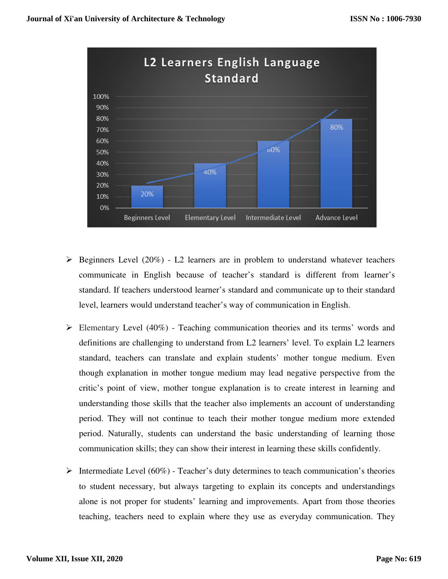

- $\triangleright$  Beginners Level (20%) L2 learners are in problem to understand whatever teachers communicate in English because of teacher's standard is different from learner's standard. If teachers understood learner's standard and communicate up to their standard level, learners would understand teacher's way of communication in English.
- Elementary Level  $(40\%)$  Teaching communication theories and its terms' words and definitions are challenging to understand from L2 learners' level. To explain L2 learners standard, teachers can translate and explain students' mother tongue medium. Even though explanation in mother tongue medium may lead negative perspective from the critic's point of view, mother tongue explanation is to create interest in learning and understanding those skills that the teacher also implements an account of understanding period. They will not continue to teach their mother tongue medium more extended period. Naturally, students can understand the basic understanding of learning those communication skills; they can show their interest in learning these skills confidently.
- Intermediate Level (60%) Teacher's duty determines to teach communication's theories to student necessary, but always targeting to explain its concepts and understandings alone is not proper for students' learning and improvements. Apart from those theories teaching, teachers need to explain where they use as everyday communication. They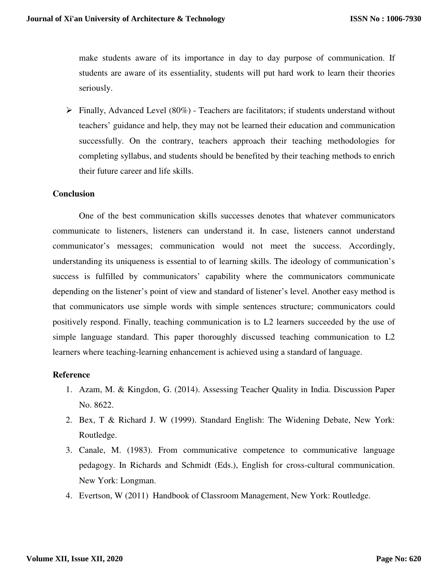make students aware of its importance in day to day purpose of communication. If students are aware of its essentiality, students will put hard work to learn their theories seriously.

 $\triangleright$  Finally, Advanced Level (80%) - Teachers are facilitators; if students understand without teachers' guidance and help, they may not be learned their education and communication successfully. On the contrary, teachers approach their teaching methodologies for completing syllabus, and students should be benefited by their teaching methods to enrich their future career and life skills.

## **Conclusion**

One of the best communication skills successes denotes that whatever communicators communicate to listeners, listeners can understand it. In case, listeners cannot understand communicator's messages; communication would not meet the success. Accordingly, understanding its uniqueness is essential to of learning skills. The ideology of communication's success is fulfilled by communicators' capability where the communicators communicate depending on the listener's point of view and standard of listener's level. Another easy method is that communicators use simple words with simple sentences structure; communicators could positively respond. Finally, teaching communication is to L2 learners succeeded by the use of simple language standard. This paper thoroughly discussed teaching communication to L2 learners where teaching-learning enhancement is achieved using a standard of language.

#### **Reference**

- 1. Azam, M. & Kingdon, G. (2014). Assessing Teacher Quality in India. Discussion Paper No. 8622.
- 2. Bex, T & Richard J. W (1999). Standard English: The Widening Debate, New York: Routledge.
- 3. Canale, M. (1983). From communicative competence to communicative language pedagogy. In Richards and Schmidt (Eds.), English for cross-cultural communication. New York: Longman.
- 4. Evertson, W (2011) Handbook of Classroom Management, New York: Routledge.